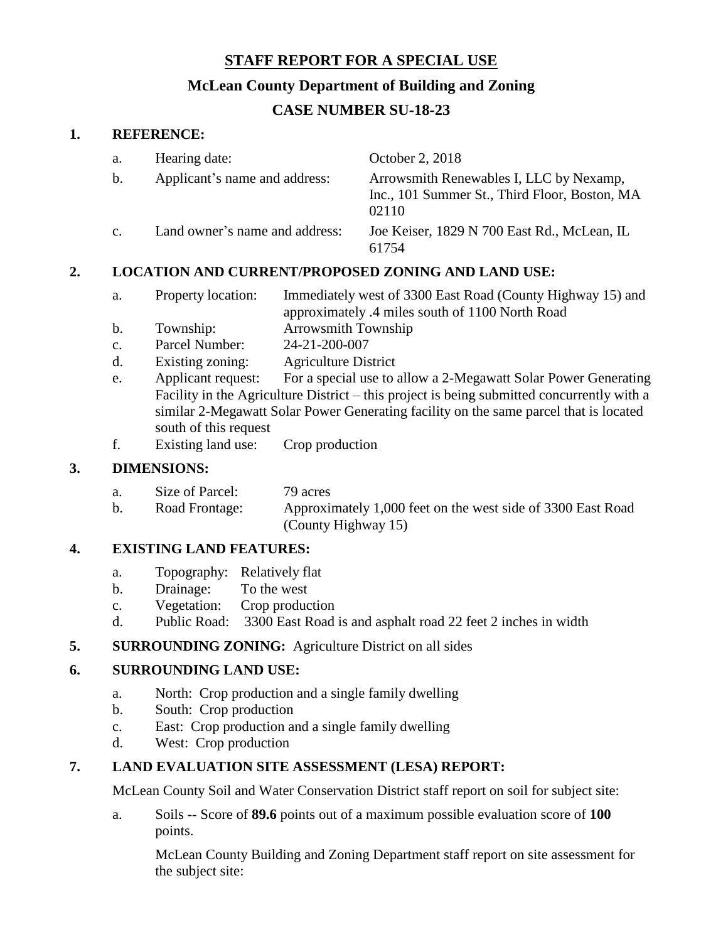## **STAFF REPORT FOR A SPECIAL USE**

#### **McLean County Department of Building and Zoning**

## **CASE NUMBER SU-18-23**

#### **1. REFERENCE:**

| a.             | Hearing date:                  | October 2, 2018                                                                                   |
|----------------|--------------------------------|---------------------------------------------------------------------------------------------------|
| $\mathbf{b}$ . | Applicant's name and address:  | Arrowsmith Renewables I, LLC by Nexamp,<br>Inc., 101 Summer St., Third Floor, Boston, MA<br>02110 |
| C <sub>1</sub> | Land owner's name and address: | Joe Keiser, 1829 N 700 East Rd., McLean, IL<br>61754                                              |

## **2. LOCATION AND CURRENT/PROPOSED ZONING AND LAND USE:**

- a. Property location: Immediately west of 3300 East Road (County Highway 15) and approximately .4 miles south of 1100 North Road
- b. Township: Arrowsmith Township
- c. Parcel Number: 24-21-200-007
- d. Existing zoning: Agriculture District
- e. Applicant request: For a special use to allow a 2-Megawatt Solar Power Generating Facility in the Agriculture District – this project is being submitted concurrently with a similar 2-Megawatt Solar Power Generating facility on the same parcel that is located south of this request
- f. Existing land use: Crop production

## **3. DIMENSIONS:**

| a. | Size of Parcel: | 79 acres |
|----|-----------------|----------|
|    |                 |          |

b. Road Frontage: Approximately 1,000 feet on the west side of 3300 East Road (County Highway 15)

## **4. EXISTING LAND FEATURES:**

- a. Topography: Relatively flat
- b. Drainage: To the west
- c. Vegetation: Crop production
- d. Public Road: 3300 East Road is and asphalt road 22 feet 2 inches in width
- **5. SURROUNDING ZONING:** Agriculture District on all sides

# **6. SURROUNDING LAND USE:**

- a. North: Crop production and a single family dwelling
- b. South: Crop production
- c. East: Crop production and a single family dwelling
- d. West: Crop production

## **7. LAND EVALUATION SITE ASSESSMENT (LESA) REPORT:**

McLean County Soil and Water Conservation District staff report on soil for subject site:

a. Soils -- Score of **89.6** points out of a maximum possible evaluation score of **100** points.

McLean County Building and Zoning Department staff report on site assessment for the subject site: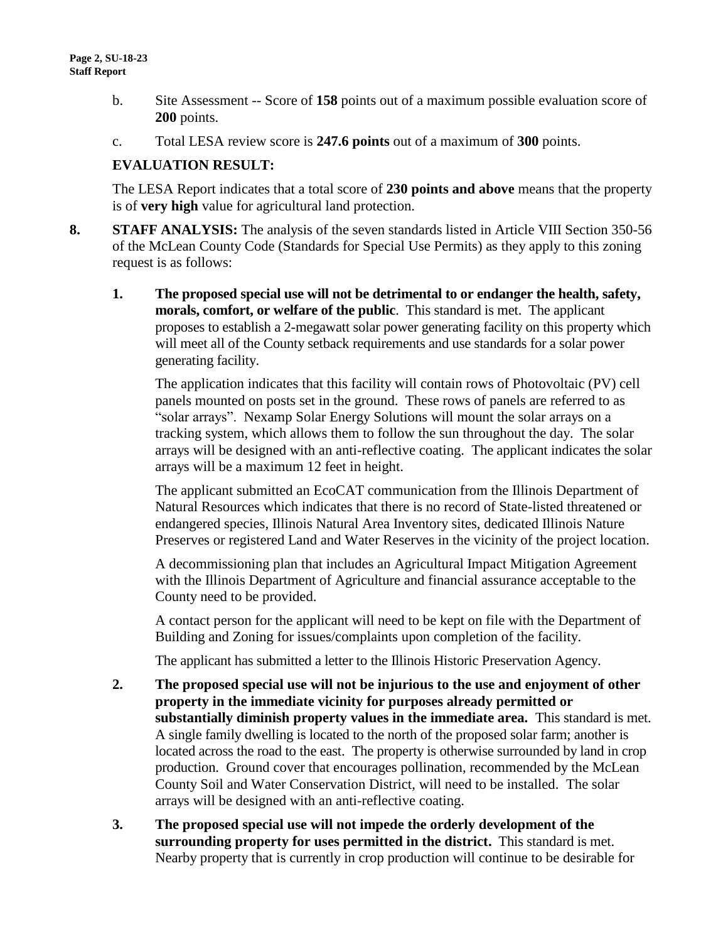- b. Site Assessment -- Score of **158** points out of a maximum possible evaluation score of **200** points.
- c. Total LESA review score is **247.6 points** out of a maximum of **300** points.

#### **EVALUATION RESULT:**

The LESA Report indicates that a total score of **230 points and above** means that the property is of **very high** value for agricultural land protection.

- **8. STAFF ANALYSIS:** The analysis of the seven standards listed in Article VIII Section 350-56 of the McLean County Code (Standards for Special Use Permits) as they apply to this zoning request is as follows:
	- **1. The proposed special use will not be detrimental to or endanger the health, safety, morals, comfort, or welfare of the public**. This standard is met. The applicant proposes to establish a 2-megawatt solar power generating facility on this property which will meet all of the County setback requirements and use standards for a solar power generating facility.

The application indicates that this facility will contain rows of Photovoltaic (PV) cell panels mounted on posts set in the ground. These rows of panels are referred to as "solar arrays". Nexamp Solar Energy Solutions will mount the solar arrays on a tracking system, which allows them to follow the sun throughout the day. The solar arrays will be designed with an anti-reflective coating. The applicant indicates the solar arrays will be a maximum 12 feet in height.

The applicant submitted an EcoCAT communication from the Illinois Department of Natural Resources which indicates that there is no record of State-listed threatened or endangered species, Illinois Natural Area Inventory sites, dedicated Illinois Nature Preserves or registered Land and Water Reserves in the vicinity of the project location.

A decommissioning plan that includes an Agricultural Impact Mitigation Agreement with the Illinois Department of Agriculture and financial assurance acceptable to the County need to be provided.

A contact person for the applicant will need to be kept on file with the Department of Building and Zoning for issues/complaints upon completion of the facility.

The applicant has submitted a letter to the Illinois Historic Preservation Agency.

- **2. The proposed special use will not be injurious to the use and enjoyment of other property in the immediate vicinity for purposes already permitted or substantially diminish property values in the immediate area.** This standard is met. A single family dwelling is located to the north of the proposed solar farm; another is located across the road to the east. The property is otherwise surrounded by land in crop production. Ground cover that encourages pollination, recommended by the McLean County Soil and Water Conservation District, will need to be installed. The solar arrays will be designed with an anti-reflective coating.
- **3. The proposed special use will not impede the orderly development of the surrounding property for uses permitted in the district.** This standard is met. Nearby property that is currently in crop production will continue to be desirable for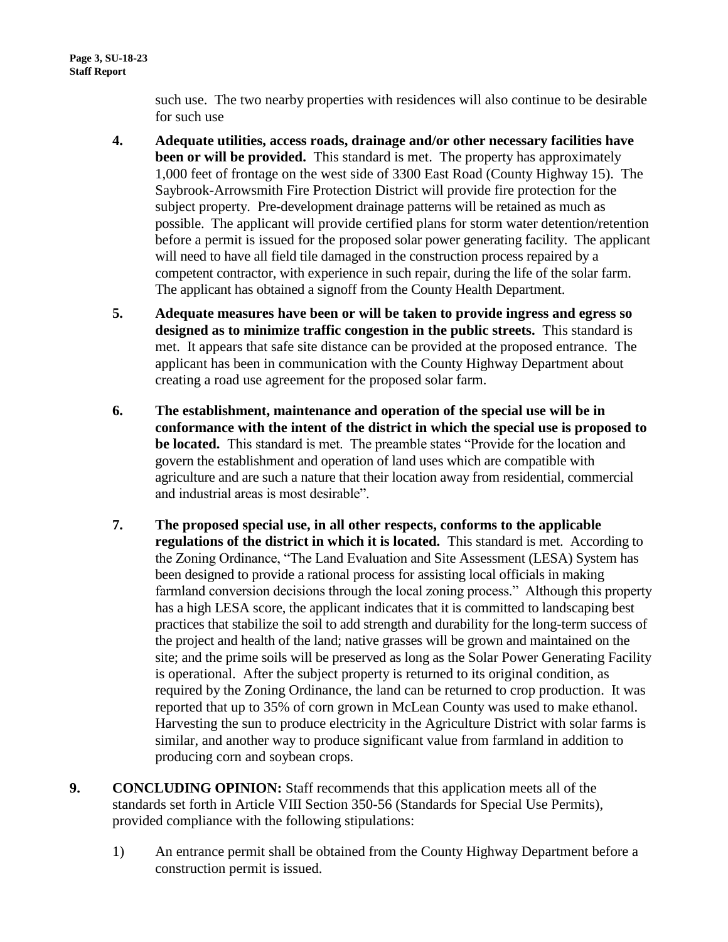such use. The two nearby properties with residences will also continue to be desirable for such use

- **4. Adequate utilities, access roads, drainage and/or other necessary facilities have been or will be provided.** This standard is met. The property has approximately 1,000 feet of frontage on the west side of 3300 East Road (County Highway 15). The Saybrook-Arrowsmith Fire Protection District will provide fire protection for the subject property. Pre-development drainage patterns will be retained as much as possible. The applicant will provide certified plans for storm water detention/retention before a permit is issued for the proposed solar power generating facility. The applicant will need to have all field tile damaged in the construction process repaired by a competent contractor, with experience in such repair, during the life of the solar farm. The applicant has obtained a signoff from the County Health Department.
- **5. Adequate measures have been or will be taken to provide ingress and egress so designed as to minimize traffic congestion in the public streets.** This standard is met. It appears that safe site distance can be provided at the proposed entrance. The applicant has been in communication with the County Highway Department about creating a road use agreement for the proposed solar farm.
- **6. The establishment, maintenance and operation of the special use will be in conformance with the intent of the district in which the special use is proposed to be located.** This standard is met. The preamble states "Provide for the location and govern the establishment and operation of land uses which are compatible with agriculture and are such a nature that their location away from residential, commercial and industrial areas is most desirable".
- **7. The proposed special use, in all other respects, conforms to the applicable regulations of the district in which it is located.** This standard is met. According to the Zoning Ordinance, "The Land Evaluation and Site Assessment (LESA) System has been designed to provide a rational process for assisting local officials in making farmland conversion decisions through the local zoning process." Although this property has a high LESA score, the applicant indicates that it is committed to landscaping best practices that stabilize the soil to add strength and durability for the long-term success of the project and health of the land; native grasses will be grown and maintained on the site; and the prime soils will be preserved as long as the Solar Power Generating Facility is operational. After the subject property is returned to its original condition, as required by the Zoning Ordinance, the land can be returned to crop production. It was reported that up to 35% of corn grown in McLean County was used to make ethanol. Harvesting the sun to produce electricity in the Agriculture District with solar farms is similar, and another way to produce significant value from farmland in addition to producing corn and soybean crops.
- **9. CONCLUDING OPINION:** Staff recommends that this application meets all of the standards set forth in Article VIII Section 350-56 (Standards for Special Use Permits), provided compliance with the following stipulations:
	- 1) An entrance permit shall be obtained from the County Highway Department before a construction permit is issued.